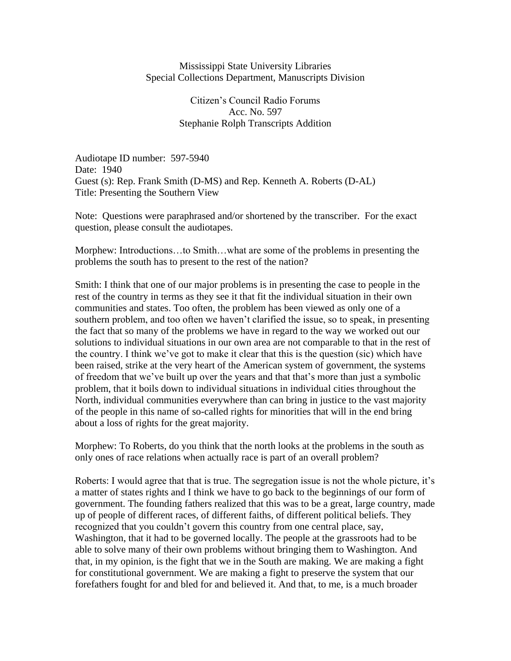## Mississippi State University Libraries Special Collections Department, Manuscripts Division

Citizen's Council Radio Forums Acc. No. 597 Stephanie Rolph Transcripts Addition

Audiotape ID number: 597-5940 Date: 1940 Guest (s): Rep. Frank Smith (D-MS) and Rep. Kenneth A. Roberts (D-AL) Title: Presenting the Southern View

Note: Questions were paraphrased and/or shortened by the transcriber. For the exact question, please consult the audiotapes.

Morphew: Introductions…to Smith…what are some of the problems in presenting the problems the south has to present to the rest of the nation?

Smith: I think that one of our major problems is in presenting the case to people in the rest of the country in terms as they see it that fit the individual situation in their own communities and states. Too often, the problem has been viewed as only one of a southern problem, and too often we haven't clarified the issue, so to speak, in presenting the fact that so many of the problems we have in regard to the way we worked out our solutions to individual situations in our own area are not comparable to that in the rest of the country. I think we've got to make it clear that this is the question (sic) which have been raised, strike at the very heart of the American system of government, the systems of freedom that we've built up over the years and that that's more than just a symbolic problem, that it boils down to individual situations in individual cities throughout the North, individual communities everywhere than can bring in justice to the vast majority of the people in this name of so-called rights for minorities that will in the end bring about a loss of rights for the great majority.

Morphew: To Roberts, do you think that the north looks at the problems in the south as only ones of race relations when actually race is part of an overall problem?

Roberts: I would agree that that is true. The segregation issue is not the whole picture, it's a matter of states rights and I think we have to go back to the beginnings of our form of government. The founding fathers realized that this was to be a great, large country, made up of people of different races, of different faiths, of different political beliefs. They recognized that you couldn't govern this country from one central place, say, Washington, that it had to be governed locally. The people at the grassroots had to be able to solve many of their own problems without bringing them to Washington. And that, in my opinion, is the fight that we in the South are making. We are making a fight for constitutional government. We are making a fight to preserve the system that our forefathers fought for and bled for and believed it. And that, to me, is a much broader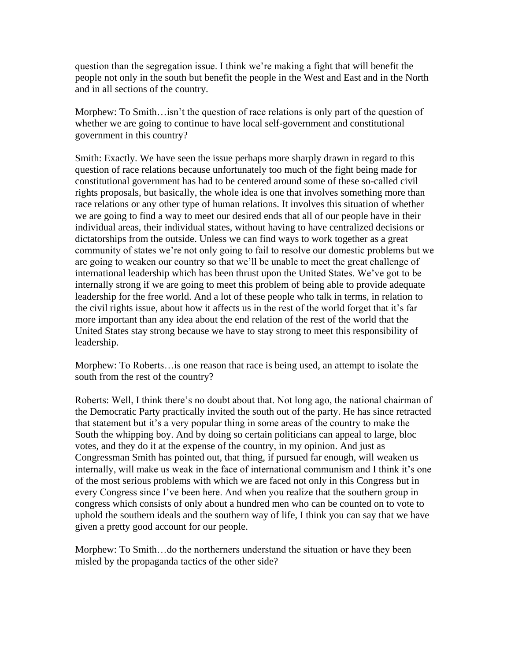question than the segregation issue. I think we're making a fight that will benefit the people not only in the south but benefit the people in the West and East and in the North and in all sections of the country.

Morphew: To Smith…isn't the question of race relations is only part of the question of whether we are going to continue to have local self-government and constitutional government in this country?

Smith: Exactly. We have seen the issue perhaps more sharply drawn in regard to this question of race relations because unfortunately too much of the fight being made for constitutional government has had to be centered around some of these so-called civil rights proposals, but basically, the whole idea is one that involves something more than race relations or any other type of human relations. It involves this situation of whether we are going to find a way to meet our desired ends that all of our people have in their individual areas, their individual states, without having to have centralized decisions or dictatorships from the outside. Unless we can find ways to work together as a great community of states we're not only going to fail to resolve our domestic problems but we are going to weaken our country so that we'll be unable to meet the great challenge of international leadership which has been thrust upon the United States. We've got to be internally strong if we are going to meet this problem of being able to provide adequate leadership for the free world. And a lot of these people who talk in terms, in relation to the civil rights issue, about how it affects us in the rest of the world forget that it's far more important than any idea about the end relation of the rest of the world that the United States stay strong because we have to stay strong to meet this responsibility of leadership.

Morphew: To Roberts…is one reason that race is being used, an attempt to isolate the south from the rest of the country?

Roberts: Well, I think there's no doubt about that. Not long ago, the national chairman of the Democratic Party practically invited the south out of the party. He has since retracted that statement but it's a very popular thing in some areas of the country to make the South the whipping boy. And by doing so certain politicians can appeal to large, bloc votes, and they do it at the expense of the country, in my opinion. And just as Congressman Smith has pointed out, that thing, if pursued far enough, will weaken us internally, will make us weak in the face of international communism and I think it's one of the most serious problems with which we are faced not only in this Congress but in every Congress since I've been here. And when you realize that the southern group in congress which consists of only about a hundred men who can be counted on to vote to uphold the southern ideals and the southern way of life, I think you can say that we have given a pretty good account for our people.

Morphew: To Smith…do the northerners understand the situation or have they been misled by the propaganda tactics of the other side?